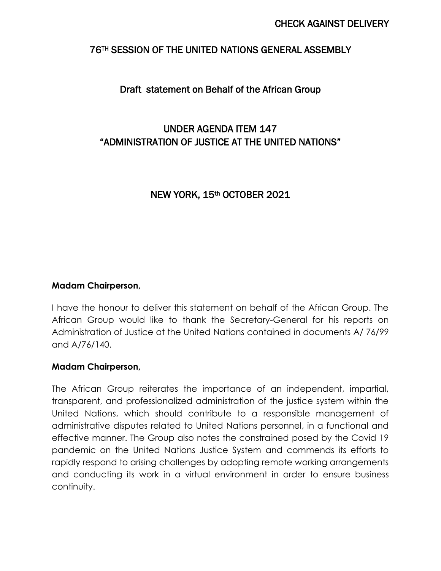## 76TH SESSION OF THE UNITED NATIONS GENERAL ASSEMBLY

# Draft statement on Behalf of the African Group

# UNDER AGENDA ITEM 147 "ADMINISTRATION OF JUSTICE AT THE UNITED NATIONS"

# NEW YORK, 15th OCTOBER 2021

#### **Madam Chairperson,**

I have the honour to deliver this statement on behalf of the African Group. The African Group would like to thank the Secretary-General for his reports on Administration of Justice at the United Nations contained in documents A/ 76/99 and A/76/140.

#### **Madam Chairperson,**

The African Group reiterates the importance of an independent, impartial, transparent, and professionalized administration of the justice system within the United Nations, which should contribute to a responsible management of administrative disputes related to United Nations personnel, in a functional and effective manner. The Group also notes the constrained posed by the Covid 19 pandemic on the United Nations Justice System and commends its efforts to rapidly respond to arising challenges by adopting remote working arrangements and conducting its work in a virtual environment in order to ensure business continuity.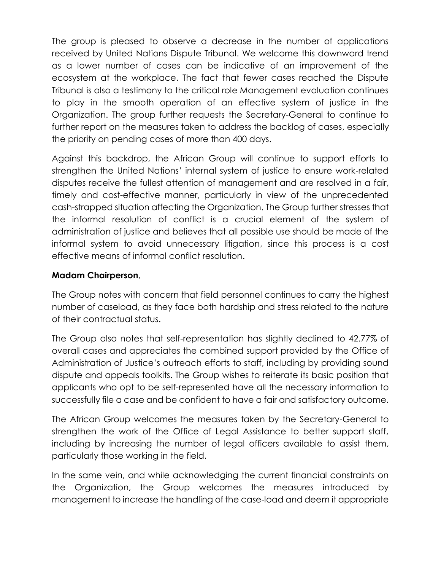The group is pleased to observe a decrease in the number of applications received by United Nations Dispute Tribunal. We welcome this downward trend as a lower number of cases can be indicative of an improvement of the ecosystem at the workplace. The fact that fewer cases reached the Dispute Tribunal is also a testimony to the critical role Management evaluation continues to play in the smooth operation of an effective system of justice in the Organization. The group further requests the Secretary-General to continue to further report on the measures taken to address the backlog of cases, especially the priority on pending cases of more than 400 days.

Against this backdrop, the African Group will continue to support efforts to strengthen the United Nations' internal system of justice to ensure work-related disputes receive the fullest attention of management and are resolved in a fair, timely and cost-effective manner, particularly in view of the unprecedented cash-strapped situation affecting the Organization. The Group further stresses that the informal resolution of conflict is a crucial element of the system of administration of justice and believes that all possible use should be made of the informal system to avoid unnecessary litigation, since this process is a cost effective means of informal conflict resolution.

## **Madam Chairperson**,

The Group notes with concern that field personnel continues to carry the highest number of caseload, as they face both hardship and stress related to the nature of their contractual status.

The Group also notes that self-representation has slightly declined to 42.77% of overall cases and appreciates the combined support provided by the Office of Administration of Justice's outreach efforts to staff, including by providing sound dispute and appeals toolkits. The Group wishes to reiterate its basic position that applicants who opt to be self-represented have all the necessary information to successfully file a case and be confident to have a fair and satisfactory outcome.

The African Group welcomes the measures taken by the Secretary-General to strengthen the work of the Office of Legal Assistance to better support staff, including by increasing the number of legal officers available to assist them, particularly those working in the field.

In the same vein, and while acknowledging the current financial constraints on the Organization, the Group welcomes the measures introduced by management to increase the handling of the case-load and deem it appropriate